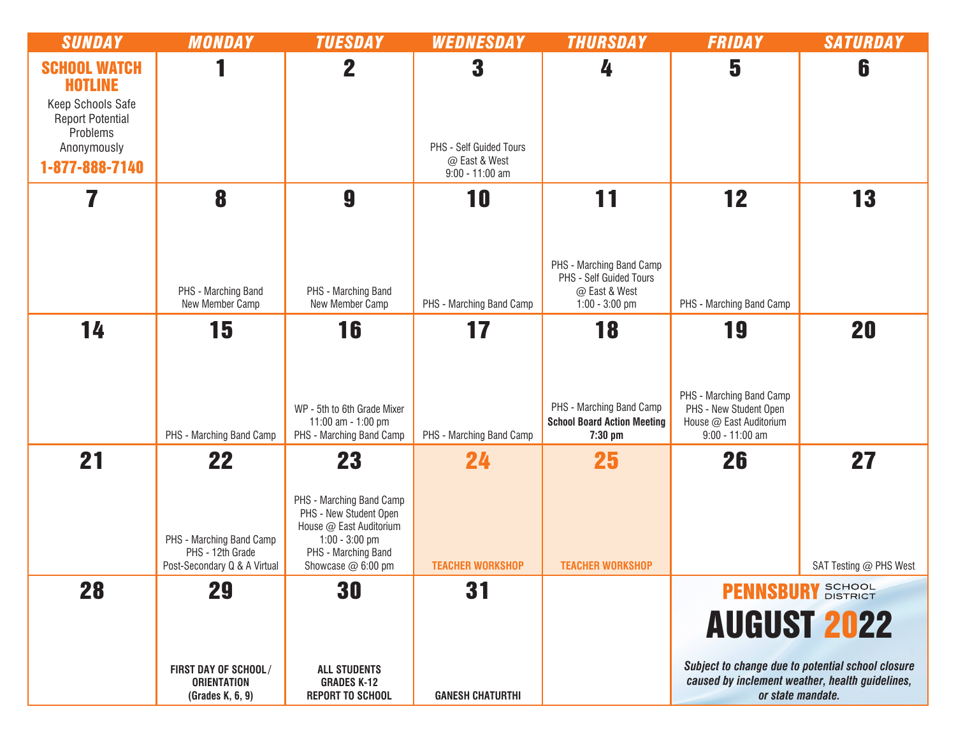| <b>SUNDAY</b>                                                                                                                      | <b>MONDAY</b>                                                                | <b>TUESDAY</b>                                                                                                                                 | <b>WEDNESDAY</b>                                                 | <b>THURSDAY</b>                                                                          | <b>FRIDAY</b>                                                                                                              | <b>SATURDAY</b>        |
|------------------------------------------------------------------------------------------------------------------------------------|------------------------------------------------------------------------------|------------------------------------------------------------------------------------------------------------------------------------------------|------------------------------------------------------------------|------------------------------------------------------------------------------------------|----------------------------------------------------------------------------------------------------------------------------|------------------------|
| <b>SCHOOL WATCH</b><br><b>HOTLINE</b><br>Keep Schools Safe<br><b>Report Potential</b><br>Problems<br>Anonymously<br>1-877-888-7140 |                                                                              | $\mathbf 2$                                                                                                                                    | 3<br>PHS - Self Guided Tours<br>@ East & West<br>9:00 - 11:00 am | 4                                                                                        | 5                                                                                                                          | 6                      |
|                                                                                                                                    | 8                                                                            | 9                                                                                                                                              | 10                                                               | 11                                                                                       | 12                                                                                                                         | 13                     |
|                                                                                                                                    | PHS - Marching Band<br>New Member Camp                                       | PHS - Marching Band<br>New Member Camp                                                                                                         | PHS - Marching Band Camp                                         | PHS - Marching Band Camp<br>PHS - Self Guided Tours<br>@ East & West<br>$1:00 - 3:00$ pm | PHS - Marching Band Camp                                                                                                   |                        |
| 14                                                                                                                                 | 15                                                                           | 16                                                                                                                                             | 17                                                               | 18                                                                                       | 19                                                                                                                         | 20                     |
|                                                                                                                                    | PHS - Marching Band Camp                                                     | WP - 5th to 6th Grade Mixer<br>11:00 am - 1:00 pm<br>PHS - Marching Band Camp                                                                  | PHS - Marching Band Camp                                         | PHS - Marching Band Camp<br><b>School Board Action Meeting</b><br>$7:30$ pm              | PHS - Marching Band Camp<br>PHS - New Student Open<br>House @ East Auditorium<br>9:00 - 11:00 am                           |                        |
| 21                                                                                                                                 | 22                                                                           | 23                                                                                                                                             | 24                                                               | 25                                                                                       | 26                                                                                                                         | 27                     |
|                                                                                                                                    | PHS - Marching Band Camp<br>PHS - 12th Grade<br>Post-Secondary Q & A Virtual | PHS - Marching Band Camp<br>PHS - New Student Open<br>House @ East Auditorium<br>$1:00 - 3:00$ pm<br>PHS - Marching Band<br>Showcase @ 6:00 pm | <b>TEACHER WORKSHOP</b>                                          | <b>TEACHER WORKSHOP</b>                                                                  |                                                                                                                            | SAT Testing @ PHS West |
| 28                                                                                                                                 | 29                                                                           | 30                                                                                                                                             | 31                                                               |                                                                                          | <b>PENNSBURY</b> SCHOOL                                                                                                    |                        |
|                                                                                                                                    | FIRST DAY OF SCHOOL/<br><b>ORIENTATION</b>                                   | <b>ALL STUDENTS</b><br><b>GRADES K-12</b>                                                                                                      |                                                                  |                                                                                          | <b>AUGUST 2022</b><br>Subject to change due to potential school closure<br>caused by inclement weather, health guidelines, |                        |
|                                                                                                                                    | (Grades K, 6, 9)                                                             | <b>REPORT TO SCHOOL</b>                                                                                                                        | <b>GANESH CHATURTHI</b>                                          |                                                                                          | or state mandate.                                                                                                          |                        |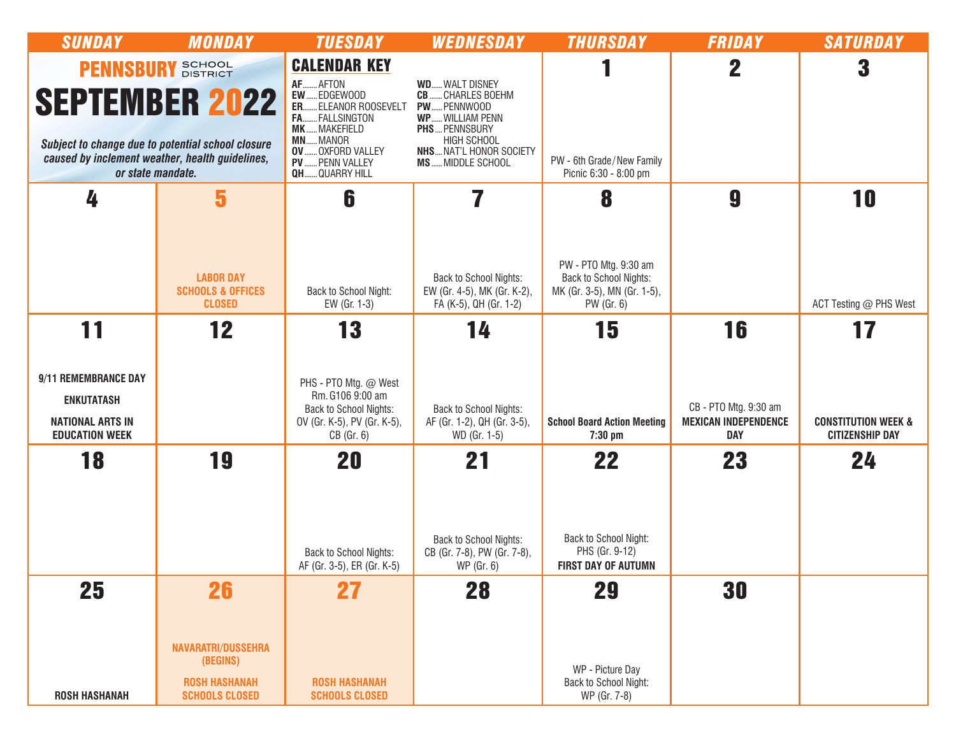| <b>SUNDAY</b>                                                                                                             | <b>MONDAY</b>                                    | <b>TUESDAY</b>                                                                       | WEDNESDAY                                                                  | <b>THURSDAY</b>                                       | <b>FRIDAY</b>                      | <b>SATURDAY</b>                                          |
|---------------------------------------------------------------------------------------------------------------------------|--------------------------------------------------|--------------------------------------------------------------------------------------|----------------------------------------------------------------------------|-------------------------------------------------------|------------------------------------|----------------------------------------------------------|
| <b>PENNSBURY</b>                                                                                                          | <b>SCHOOL</b><br><b>DISTRICT</b>                 | <b>CALENDAR KEY</b><br>AFAFTON                                                       | <b>WD WALT DISNEY</b>                                                      |                                                       | $\overline{2}$                     | 3                                                        |
| <b>SEPTEMBER 2022</b>                                                                                                     |                                                  | EWEDGEWOOD<br>ELEANOR ROOSEVELT<br>ER<br>FALLSINGTON<br>FA<br><b>MK</b> MAKEFIELD    | <b>CB</b> CHARLES BOEHM<br>PW PENNWOOD<br>WP WILLIAM PENN<br>PHS PENNSBURY |                                                       |                                    |                                                          |
| Subject to change due to potential school closure<br>caused by inclement weather, health guidelines,<br>or state mandate. |                                                  | <b>MN MANOR</b><br>.OXFORD VALLEY<br>OV.<br>PV  PENN VALLEY<br><b>QH QUARRY HILL</b> | HIGH SCHOOL<br><b>NHS NAT'L HONOR SOCIETY</b><br>MS MIDDLE SCHOOL          | PW - 6th Grade/New Family<br>Picnic 6:30 - 8:00 pm    |                                    |                                                          |
| 4                                                                                                                         | 5                                                | 6                                                                                    | 7                                                                          | 8                                                     | 9                                  | 10                                                       |
|                                                                                                                           |                                                  |                                                                                      |                                                                            |                                                       |                                    |                                                          |
|                                                                                                                           |                                                  |                                                                                      |                                                                            | PW - PTO Mtg. 9:30 am                                 |                                    |                                                          |
|                                                                                                                           | <b>LABOR DAY</b><br><b>SCHOOLS &amp; OFFICES</b> | Back to School Night:                                                                | Back to School Nights:<br>EW (Gr. 4-5), MK (Gr. K-2),                      | Back to School Nights:<br>MK (Gr. 3-5), MN (Gr. 1-5), |                                    |                                                          |
|                                                                                                                           | <b>CLOSED</b>                                    | EW (Gr. 1-3)                                                                         | FA (K-5), QH (Gr. 1-2)                                                     | PW (Gr. 6)                                            |                                    | ACT Testing @ PHS West                                   |
| 11                                                                                                                        | 12                                               | 13                                                                                   | 14                                                                         | 15                                                    | 16                                 | 17                                                       |
|                                                                                                                           |                                                  |                                                                                      |                                                                            |                                                       |                                    |                                                          |
| 9/11 REMEMBRANCE DAY                                                                                                      |                                                  | PHS - PTO Mtg. @ West<br>Rm. G106 9:00 am                                            |                                                                            |                                                       |                                    |                                                          |
| <b>ENKUTATASH</b>                                                                                                         |                                                  | Back to School Nights:                                                               | Back to School Nights:                                                     |                                                       | CB - PTO Mtg. 9:30 am              |                                                          |
| <b>NATIONAL ARTS IN</b><br><b>EDUCATION WEEK</b>                                                                          |                                                  | OV (Gr. K-5), PV (Gr. K-5),<br>CB (Gr. 6)                                            | AF (Gr. 1-2), QH (Gr. 3-5),<br>WD (Gr. 1-5)                                | <b>School Board Action Meeting</b><br>$7:30$ pm       | <b>MEXICAN INDEPENDENCE</b><br>DAY | <b>CONSTITUTION WEEK &amp;</b><br><b>CITIZENSHIP DAY</b> |
| 18                                                                                                                        | 19                                               | 20                                                                                   | 21                                                                         | 22                                                    | 23                                 | 24                                                       |
|                                                                                                                           |                                                  |                                                                                      |                                                                            |                                                       |                                    |                                                          |
|                                                                                                                           |                                                  |                                                                                      |                                                                            |                                                       |                                    |                                                          |
|                                                                                                                           |                                                  |                                                                                      | Back to School Nights:                                                     | Back to School Night:                                 |                                    |                                                          |
|                                                                                                                           |                                                  | Back to School Nights:<br>AF (Gr. 3-5), ER (Gr. K-5)                                 | CB (Gr. 7-8), PW (Gr. 7-8),<br>WP(Gr. 6)                                   | PHS (Gr. 9-12)<br><b>FIRST DAY OF AUTUMN</b>          |                                    |                                                          |
| 25                                                                                                                        | 26                                               | 27                                                                                   | 28                                                                         | 29                                                    | 30                                 |                                                          |
|                                                                                                                           |                                                  |                                                                                      |                                                                            |                                                       |                                    |                                                          |
|                                                                                                                           | <b>NAVARATRI/DUSSEHRA</b>                        |                                                                                      |                                                                            |                                                       |                                    |                                                          |
|                                                                                                                           | (BEGINS)                                         |                                                                                      |                                                                            | WP - Picture Day                                      |                                    |                                                          |
| <b>ROSH HASHANAH</b>                                                                                                      | <b>ROSH HASHANAH</b><br><b>SCHOOLS CLOSED</b>    | <b>ROSH HASHANAH</b><br><b>SCHOOLS CLOSED</b>                                        |                                                                            | Back to School Night:<br>WP (Gr. 7-8)                 |                                    |                                                          |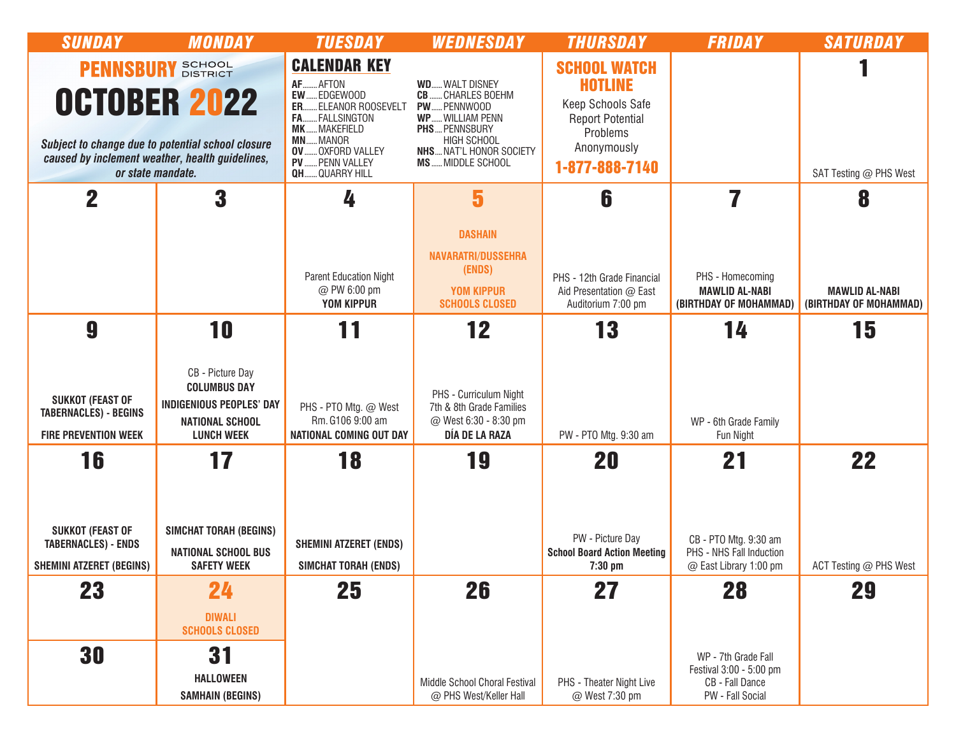| <b>SUNDAY</b>                                                                                                                                                        | <b>MONDAY</b>                                                                                                             | <b>TUESDAY</b>                                                                                                                                                                                                  | <b>WEDNESDAY</b>                                                                                                                                                                       | <b>THURSDAY</b>                                                                                                                    | <b>FRIDAY</b>                                                                         | <b>SATURDAY</b>                                 |
|----------------------------------------------------------------------------------------------------------------------------------------------------------------------|---------------------------------------------------------------------------------------------------------------------------|-----------------------------------------------------------------------------------------------------------------------------------------------------------------------------------------------------------------|----------------------------------------------------------------------------------------------------------------------------------------------------------------------------------------|------------------------------------------------------------------------------------------------------------------------------------|---------------------------------------------------------------------------------------|-------------------------------------------------|
| <b>PENNSBURY</b><br><b>OCTOBER 2022</b><br>Subject to change due to potential school closure<br>caused by inclement weather, health guidelines,<br>or state mandate. | SCHOOL<br><b>DISTRICT</b>                                                                                                 | <b>CALENDAR KEY</b><br>AFAFTON<br>EDGEWOOD<br>EW<br>ELEANOR ROOSEVELT<br>ER.<br>FA FALLSINGTON<br><b>MK MAKEFIELD</b><br><b>MN MANOR</b><br>OXFORD VALLEY<br>OV.<br>PV.<br>PENN VALLEY<br><b>QH QUARRY HILL</b> | <b>WD WALT DISNEY</b><br><b>CB</b> CHARLES BOEHM<br>PW PENNWOOD<br><b>WP WILLIAM PENN</b><br>PHS PENNSBURY<br><b>HIGH SCHOOL</b><br><b>NHS NAT'L HONOR SOCIETY</b><br>MS MIDDLE SCHOOL | <b>SCHOOL WATCH</b><br><b>HOTLINE</b><br>Keep Schools Safe<br><b>Report Potential</b><br>Problems<br>Anonymously<br>1-877-888-7140 |                                                                                       | SAT Testing @ PHS West                          |
| $\mathbf 2$                                                                                                                                                          | 3                                                                                                                         | 4                                                                                                                                                                                                               | 5                                                                                                                                                                                      | 6                                                                                                                                  | 7                                                                                     | 8                                               |
|                                                                                                                                                                      |                                                                                                                           | <b>Parent Education Night</b><br>@ PW 6:00 pm<br><b>YOM KIPPUR</b>                                                                                                                                              | <b>DASHAIN</b><br><b>NAVARATRI/DUSSEHRA</b><br>(ENDS)<br><b>YOM KIPPUR</b><br><b>SCHOOLS CLOSED</b>                                                                                    | PHS - 12th Grade Financial<br>Aid Presentation @ East<br>Auditorium 7:00 pm                                                        | PHS - Homecoming<br><b>MAWLID AL-NABI</b><br>(BIRTHDAY OF MOHAMMAD)                   | <b>MAWLID AL-NABI</b><br>(BIRTHDAY OF MOHAMMAD) |
| 9                                                                                                                                                                    | 10                                                                                                                        | 11                                                                                                                                                                                                              | 12                                                                                                                                                                                     | 13                                                                                                                                 | 14                                                                                    | 15                                              |
| <b>SUKKOT (FEAST OF</b><br><b>TABERNACLES) - BEGINS</b><br><b>FIRE PREVENTION WEEK</b>                                                                               | CB - Picture Day<br><b>COLUMBUS DAY</b><br><b>INDIGENIOUS PEOPLES' DAY</b><br><b>NATIONAL SCHOOL</b><br><b>LUNCH WEEK</b> | PHS - PTO Mtg. @ West<br>Rm. G106 9:00 am<br>NATIONAL COMING OUT DAY                                                                                                                                            | PHS - Curriculum Night<br>7th & 8th Grade Families<br>@ West 6:30 - 8:30 pm<br>DÍA DE LA RAZA                                                                                          | PW - PTO Mtg. 9:30 am                                                                                                              | WP - 6th Grade Family<br>Fun Night                                                    |                                                 |
| 16                                                                                                                                                                   | 17                                                                                                                        | 18                                                                                                                                                                                                              | 19                                                                                                                                                                                     | 20                                                                                                                                 | 21                                                                                    | $22 \,$                                         |
| <b>SUKKOT (FEAST OF</b><br><b>TABERNACLES) - ENDS</b><br><b>SHEMINI ATZERET (BEGINS)</b>                                                                             | SIMCHAT TORAH (BEGINS)<br><b>NATIONAL SCHOOL BUS</b><br><b>SAFETY WEEK</b>                                                | <b>SHEMINI ATZERET (ENDS)</b><br><b>SIMCHAT TORAH (ENDS)</b>                                                                                                                                                    |                                                                                                                                                                                        | PW - Picture Day<br><b>School Board Action Meeting</b><br>7:30 pm                                                                  | CB - PTO Mtg. 9:30 am<br>PHS - NHS Fall Induction<br>@ East Library 1:00 pm           | ACT Testing @ PHS West                          |
| 23                                                                                                                                                                   | 24                                                                                                                        | 25                                                                                                                                                                                                              | 26                                                                                                                                                                                     | 27                                                                                                                                 | 28                                                                                    | 29                                              |
|                                                                                                                                                                      | <b>DIWALI</b><br><b>SCHOOLS CLOSED</b>                                                                                    |                                                                                                                                                                                                                 |                                                                                                                                                                                        |                                                                                                                                    |                                                                                       |                                                 |
| 30                                                                                                                                                                   | 31<br><b>HALLOWEEN</b><br><b>SAMHAIN (BEGINS)</b>                                                                         |                                                                                                                                                                                                                 | Middle School Choral Festival<br>@ PHS West/Keller Hall                                                                                                                                | PHS - Theater Night Live<br>@ West 7:30 pm                                                                                         | WP - 7th Grade Fall<br>Festival 3:00 - 5:00 pm<br>CB - Fall Dance<br>PW - Fall Social |                                                 |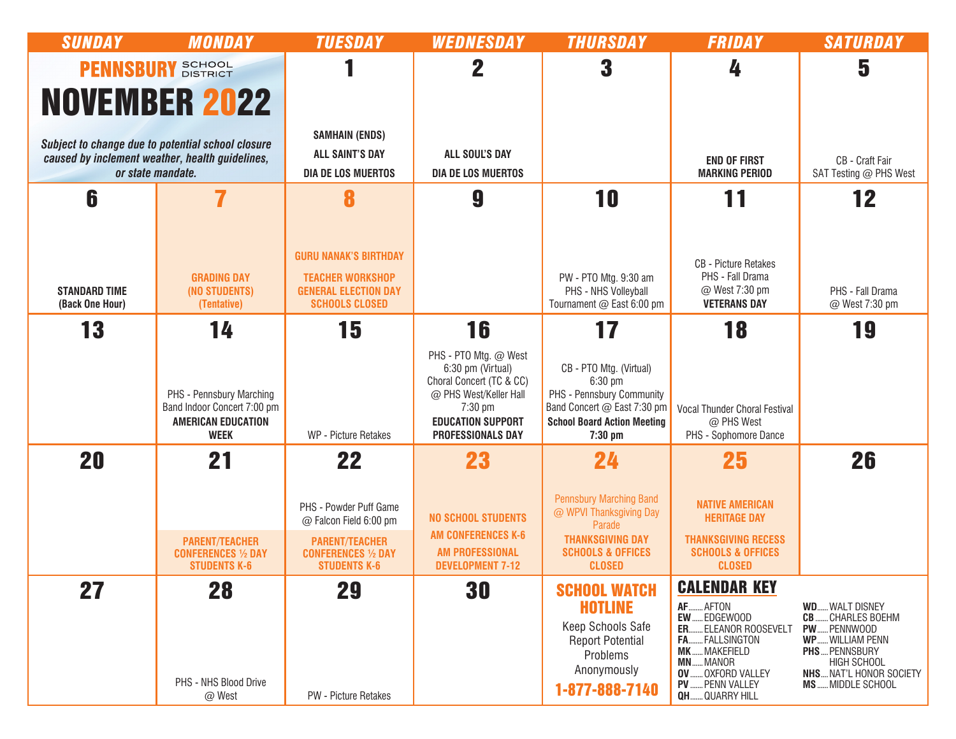| <b>SUNDAY</b>                                                                                                             | <b>MONDAY</b>                                                                                       | <b>TUESDAY</b>                                                                                                                 | <b>WEDNESDAY</b>                                                                                                                                                      | <b>THURSDAY</b>                                                                                                                                     | <b>FRIDAY</b>                                                                                                                                                                                                        | <b>SATURDAY</b>                                                                                                                                                                        |
|---------------------------------------------------------------------------------------------------------------------------|-----------------------------------------------------------------------------------------------------|--------------------------------------------------------------------------------------------------------------------------------|-----------------------------------------------------------------------------------------------------------------------------------------------------------------------|-----------------------------------------------------------------------------------------------------------------------------------------------------|----------------------------------------------------------------------------------------------------------------------------------------------------------------------------------------------------------------------|----------------------------------------------------------------------------------------------------------------------------------------------------------------------------------------|
| <b>PENNSBURY</b>                                                                                                          | SCHOOL<br>DISTRICT                                                                                  |                                                                                                                                | 2                                                                                                                                                                     | 3                                                                                                                                                   | 4                                                                                                                                                                                                                    | 5                                                                                                                                                                                      |
|                                                                                                                           | <b>NOVEMBER 2022</b>                                                                                |                                                                                                                                |                                                                                                                                                                       |                                                                                                                                                     |                                                                                                                                                                                                                      |                                                                                                                                                                                        |
| Subject to change due to potential school closure<br>caused by inclement weather, health guidelines,<br>or state mandate. |                                                                                                     | <b>SAMHAIN (ENDS)</b><br><b>ALL SAINT'S DAY</b><br><b>DIA DE LOS MUERTOS</b>                                                   | ALL SOUL'S DAY<br><b>DIA DE LOS MUERTOS</b>                                                                                                                           |                                                                                                                                                     | <b>END OF FIRST</b><br><b>MARKING PERIOD</b>                                                                                                                                                                         | CB - Craft Fair<br>SAT Testing @ PHS West                                                                                                                                              |
| 6                                                                                                                         |                                                                                                     | 8                                                                                                                              | 9                                                                                                                                                                     | 10                                                                                                                                                  | 11                                                                                                                                                                                                                   | 12                                                                                                                                                                                     |
| <b>STANDARD TIME</b><br>(Back One Hour)                                                                                   | <b>GRADING DAY</b><br>(NO STUDENTS)<br>(Tentative)                                                  | <b>GURU NANAK'S BIRTHDAY</b><br><b>TEACHER WORKSHOP</b><br><b>GENERAL ELECTION DAY</b><br><b>SCHOOLS CLOSED</b>                |                                                                                                                                                                       | PW - PTO Mtg. 9:30 am<br>PHS - NHS Volleyball<br>Tournament @ East 6:00 pm                                                                          | <b>CB</b> - Picture Retakes<br>PHS - Fall Drama<br>@ West 7:30 pm<br><b>VETERANS DAY</b>                                                                                                                             | PHS - Fall Drama<br>@ West 7:30 pm                                                                                                                                                     |
| 13                                                                                                                        | 14                                                                                                  | 15                                                                                                                             | 16                                                                                                                                                                    | 17                                                                                                                                                  | 18                                                                                                                                                                                                                   | 19                                                                                                                                                                                     |
|                                                                                                                           | PHS - Pennsbury Marching<br>Band Indoor Concert 7:00 pm<br><b>AMERICAN EDUCATION</b><br><b>WEEK</b> | WP - Picture Retakes                                                                                                           | PHS - PTO Mtg. @ West<br>6:30 pm (Virtual)<br>Choral Concert (TC & CC)<br>@ PHS West/Keller Hall<br>$7:30$ pm<br><b>EDUCATION SUPPORT</b><br><b>PROFESSIONALS DAY</b> | CB - PTO Mtg. (Virtual)<br>$6:30$ pm<br>PHS - Pennsbury Community<br>Band Concert @ East 7:30 pm<br><b>School Board Action Meeting</b><br>$7:30$ pm | Vocal Thunder Choral Festival<br>@ PHS West<br>PHS - Sophomore Dance                                                                                                                                                 |                                                                                                                                                                                        |
| 20                                                                                                                        | 21                                                                                                  | 22                                                                                                                             | 23                                                                                                                                                                    | 24                                                                                                                                                  | 25                                                                                                                                                                                                                   | 26                                                                                                                                                                                     |
|                                                                                                                           | <b>PARENT/TEACHER</b><br><b>CONFERENCES 1/2 DAY</b><br><b>STUDENTS K-6</b>                          | PHS - Powder Puff Game<br>@ Falcon Field 6:00 pm<br><b>PARENT/TEACHER</b><br><b>CONFERENCES 1/2 DAY</b><br><b>STUDENTS K-6</b> | <b>NO SCHOOL STUDENTS</b><br><b>AM CONFERENCES K-6</b><br><b>AM PROFESSIONAL</b><br><b>DEVELOPMENT 7-12</b>                                                           | <b>Pennsbury Marching Band</b><br>@ WPVI Thanksgiving Day<br>Parade<br><b>THANKSGIVING DAY</b><br><b>SCHOOLS &amp; OFFICES</b><br><b>CLOSED</b>     | <b>NATIVE AMERICAN</b><br><b>HERITAGE DAY</b><br><b>THANKSGIVING RECESS</b><br><b>SCHOOLS &amp; OFFICES</b><br><b>CLOSED</b>                                                                                         |                                                                                                                                                                                        |
| 27                                                                                                                        | 28<br>PHS - NHS Blood Drive<br>@ West                                                               | 29<br>PW - Picture Retakes                                                                                                     | 30                                                                                                                                                                    | <b>SCHOOL WATCH</b><br><b>HOTLINE</b><br>Keep Schools Safe<br><b>Report Potential</b><br>Problems<br>Anonymously<br>1-877-888-7140                  | <b>CALENDAR KEY</b><br>AFAFTON<br>EW EDGEWOOD<br>ELEANOR ROOSEVELT<br>ER<br>FA FALLSINGTON<br><b>MK MAKEFIELD</b><br>MANOR<br>MN<br>OXFORD VALLEY<br>$0V_{\cdot}$<br>PENN VALLEY<br>$PV_{}$<br><b>QH QUARRY HILL</b> | <b>WD WALT DISNEY</b><br><b>CB</b> CHARLES BOEHM<br>PW PENNWOOD<br>WP WILLIAM PENN<br><b>PHS</b> PENNSBURY<br>HIGH SCHOOL<br><b>NHS NAT'L HONOR SOCIETY</b><br><b>MS MIDDLE SCHOOL</b> |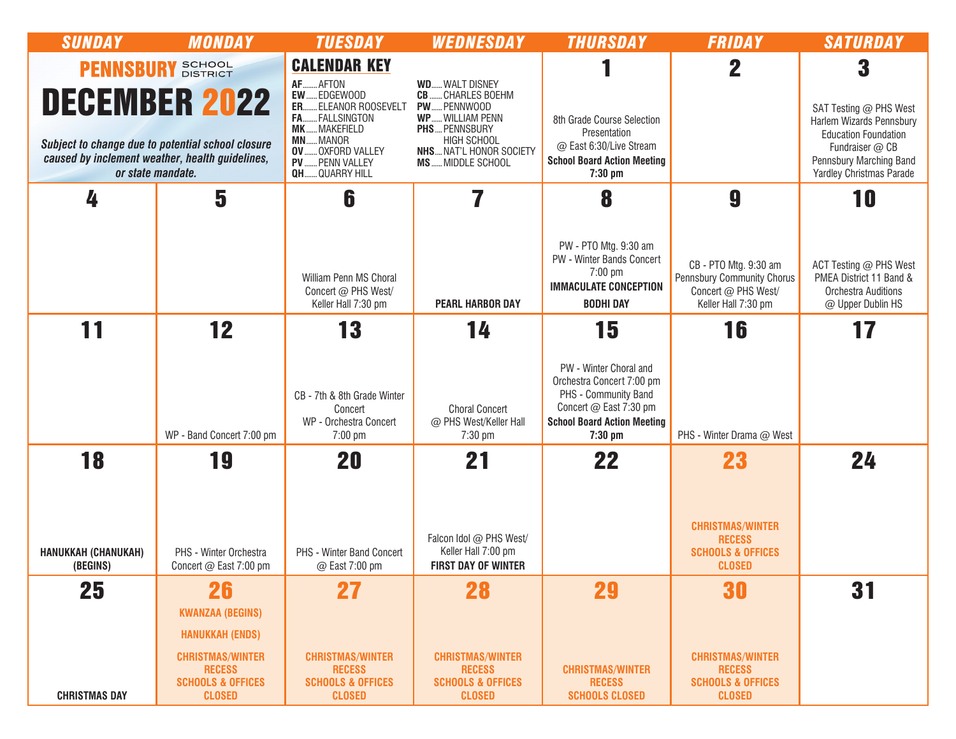| <b>SUNDAY</b>                                                        | <b>MONDAY</b>                                                                             | <b>TUESDAY</b>                                                                                                                                                                           | <b>WEDNESDAY</b>                                                                                                                                                         | <b>THURSDAY</b>                                                                                                                                        | FRIDAY                                                                                            | <b>SATURDAY</b>                                                                                                                                             |
|----------------------------------------------------------------------|-------------------------------------------------------------------------------------------|------------------------------------------------------------------------------------------------------------------------------------------------------------------------------------------|--------------------------------------------------------------------------------------------------------------------------------------------------------------------------|--------------------------------------------------------------------------------------------------------------------------------------------------------|---------------------------------------------------------------------------------------------------|-------------------------------------------------------------------------------------------------------------------------------------------------------------|
| <b>PENNSBURY</b>                                                     | <b>SCHOOL</b><br><b>DISTRICT</b>                                                          | <b>CALENDAR KEY</b>                                                                                                                                                                      |                                                                                                                                                                          |                                                                                                                                                        | $\mathbf 2$                                                                                       | 3                                                                                                                                                           |
| caused by inclement weather, health guidelines,<br>or state mandate. | <b>DECEMBER 2022</b><br>Subject to change due to potential school closure                 | AF AFTON<br>EW EDGEWOOD<br>ER.<br>.ELEANOR ROOSEVELT<br>FA.<br>FALLSINGTON<br><b>MK</b> MAKEFIELD<br><b>MN MANOR</b><br>OXFORD VALLEY<br>OV.<br>PV  PENN VALLEY<br><b>QH QUARRY HILL</b> | <b>WD WALT DISNEY</b><br><b>CB</b> CHARLES BOEHM<br>PW PENNWOOD<br>WP WILLIAM PENN<br>PHS PENNSBURY<br>HIGH SCHOOL<br><b>NHS NAT'L HONOR SOCIETY</b><br>MS MIDDLE SCHOOL | 8th Grade Course Selection<br>Presentation<br>@ East 6:30/Live Stream<br><b>School Board Action Meeting</b><br>7:30 pm                                 |                                                                                                   | SAT Testing @ PHS West<br>Harlem Wizards Pennsbury<br><b>Education Foundation</b><br>Fundraiser @ CB<br>Pennsbury Marching Band<br>Yardley Christmas Parade |
| 4                                                                    | 5                                                                                         | 6                                                                                                                                                                                        | 7                                                                                                                                                                        | 8                                                                                                                                                      | 9                                                                                                 | 10                                                                                                                                                          |
|                                                                      |                                                                                           | William Penn MS Choral<br>Concert @ PHS West/<br>Keller Hall 7:30 pm                                                                                                                     | <b>PEARL HARBOR DAY</b>                                                                                                                                                  | PW - PTO Mtg. 9:30 am<br>PW - Winter Bands Concert<br>$7:00$ pm<br><b>IMMACULATE CONCEPTION</b><br><b>BODHI DAY</b>                                    | CB - PTO Mtg. 9:30 am<br>Pennsbury Community Chorus<br>Concert @ PHS West/<br>Keller Hall 7:30 pm | ACT Testing @ PHS West<br>PMEA District 11 Band &<br><b>Orchestra Auditions</b><br>@ Upper Dublin HS                                                        |
| 11                                                                   | 12                                                                                        | 13                                                                                                                                                                                       | 14                                                                                                                                                                       | 15                                                                                                                                                     | 16                                                                                                | 17                                                                                                                                                          |
|                                                                      | WP - Band Concert 7:00 pm                                                                 | CB - 7th & 8th Grade Winter<br>Concert<br>WP - Orchestra Concert<br>$7:00$ pm                                                                                                            | <b>Choral Concert</b><br>@ PHS West/Keller Hall<br>7:30 pm                                                                                                               | PW - Winter Choral and<br>Orchestra Concert 7:00 pm<br>PHS - Community Band<br>Concert @ East 7:30 pm<br><b>School Board Action Meeting</b><br>7:30 pm | PHS - Winter Drama @ West                                                                         |                                                                                                                                                             |
| 18                                                                   | 19                                                                                        | 20                                                                                                                                                                                       | 21                                                                                                                                                                       | 22                                                                                                                                                     | 23                                                                                                | 24                                                                                                                                                          |
| <b>HANUKKAH (CHANUKAH)</b><br>(BEGINS)                               | PHS - Winter Orchestra<br>Concert @ East 7:00 pm                                          | PHS - Winter Band Concert<br>@ East 7:00 pm                                                                                                                                              | Falcon Idol @ PHS West/<br>Keller Hall 7:00 pm<br><b>FIRST DAY OF WINTER</b>                                                                                             |                                                                                                                                                        | <b>CHRISTMAS/WINTER</b><br><b>RECESS</b><br><b>SCHOOLS &amp; OFFICES</b><br><b>CLOSED</b>         |                                                                                                                                                             |
| 25                                                                   | 26                                                                                        | 27                                                                                                                                                                                       | 28                                                                                                                                                                       | 29                                                                                                                                                     | 30                                                                                                | 31                                                                                                                                                          |
|                                                                      | <b>KWANZAA (BEGINS)</b>                                                                   |                                                                                                                                                                                          |                                                                                                                                                                          |                                                                                                                                                        |                                                                                                   |                                                                                                                                                             |
|                                                                      | <b>HANUKKAH (ENDS)</b>                                                                    |                                                                                                                                                                                          |                                                                                                                                                                          |                                                                                                                                                        |                                                                                                   |                                                                                                                                                             |
| <b>CHRISTMAS DAY</b>                                                 | <b>CHRISTMAS/WINTER</b><br><b>RECESS</b><br><b>SCHOOLS &amp; OFFICES</b><br><b>CLOSED</b> | <b>CHRISTMAS/WINTER</b><br><b>RECESS</b><br><b>SCHOOLS &amp; OFFICES</b><br><b>CLOSED</b>                                                                                                | <b>CHRISTMAS/WINTER</b><br><b>RECESS</b><br><b>SCHOOLS &amp; OFFICES</b><br><b>CLOSED</b>                                                                                | <b>CHRISTMAS/WINTER</b><br><b>RECESS</b><br><b>SCHOOLS CLOSED</b>                                                                                      | <b>CHRISTMAS/WINTER</b><br><b>RECESS</b><br><b>SCHOOLS &amp; OFFICES</b><br><b>CLOSED</b>         |                                                                                                                                                             |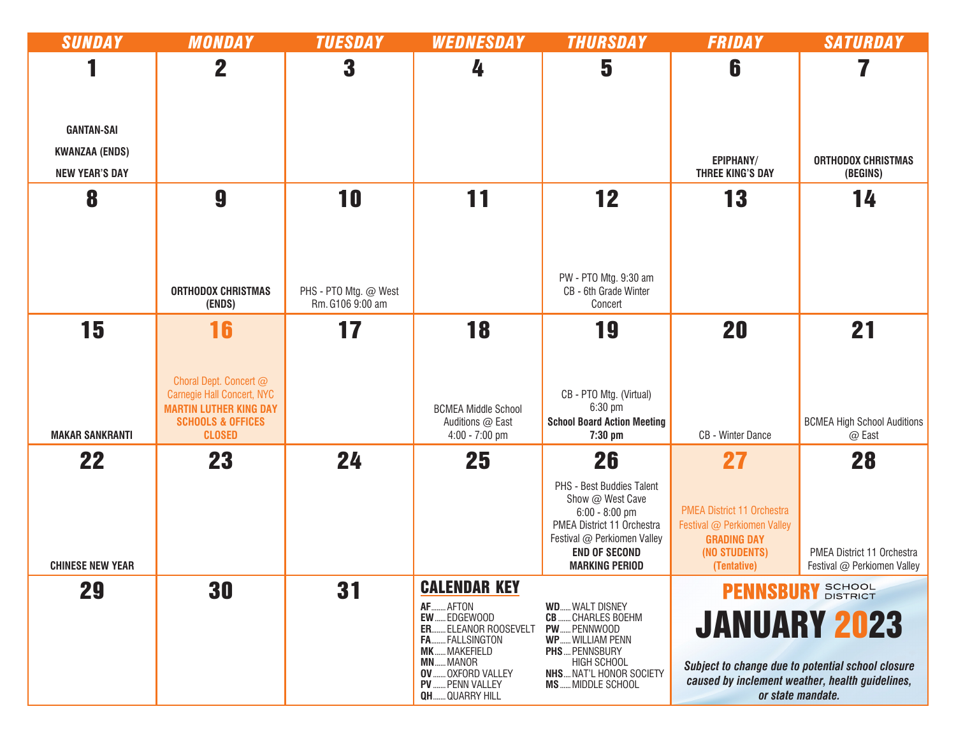| <b>SUNDAY</b>                                                       | <b>MONDAY</b>                                                                                                                                 | <b>TUESDAY</b>                            | <b>WEDNESDAY</b>                                                                                        | <b>THURSDAY</b>                                                                                                                                                                 | <b>FRIDAY</b>                                                                                                             | <b>SATURDAY</b>                                           |
|---------------------------------------------------------------------|-----------------------------------------------------------------------------------------------------------------------------------------------|-------------------------------------------|---------------------------------------------------------------------------------------------------------|---------------------------------------------------------------------------------------------------------------------------------------------------------------------------------|---------------------------------------------------------------------------------------------------------------------------|-----------------------------------------------------------|
|                                                                     | $\mathbf 2$                                                                                                                                   | 3                                         | 4                                                                                                       | 5                                                                                                                                                                               | 6                                                                                                                         |                                                           |
| <b>GANTAN-SAI</b><br><b>KWANZAA (ENDS)</b><br><b>NEW YEAR'S DAY</b> |                                                                                                                                               |                                           |                                                                                                         |                                                                                                                                                                                 | EPIPHANY/<br><b>THREE KING'S DAY</b>                                                                                      | <b>ORTHODOX CHRISTMAS</b><br>(BEGINS)                     |
| 8                                                                   | 9                                                                                                                                             | 10                                        | 11                                                                                                      | 12                                                                                                                                                                              | 13                                                                                                                        | 14                                                        |
|                                                                     | <b>ORTHODOX CHRISTMAS</b><br>(ENDS)                                                                                                           | PHS - PTO Mtg. @ West<br>Rm. G106 9:00 am |                                                                                                         | PW - PTO Mtg. 9:30 am<br>CB - 6th Grade Winter<br>Concert                                                                                                                       |                                                                                                                           |                                                           |
| 15                                                                  | 16                                                                                                                                            | 17                                        | 18                                                                                                      | 19                                                                                                                                                                              | 20                                                                                                                        | 21                                                        |
| <b>MAKAR SANKRANTI</b>                                              | Choral Dept. Concert @<br><b>Carnegie Hall Concert, NYC</b><br><b>MARTIN LUTHER KING DAY</b><br><b>SCHOOLS &amp; OFFICES</b><br><b>CLOSED</b> |                                           | <b>BCMEA Middle School</b><br>Auditions @ East<br>$4:00 - 7:00$ pm                                      | CB - PTO Mtg. (Virtual)<br>6:30 pm<br><b>School Board Action Meeting</b><br>$7:30$ pm                                                                                           | <b>CB</b> - Winter Dance                                                                                                  | <b>BCMEA High School Auditions</b><br>$@$ East            |
| 22                                                                  | 23                                                                                                                                            | 24                                        | 25                                                                                                      | 26                                                                                                                                                                              | 27                                                                                                                        | 28                                                        |
| <b>CHINESE NEW YEAR</b>                                             |                                                                                                                                               |                                           |                                                                                                         | PHS - Best Buddies Talent<br>Show @ West Cave<br>$6:00 - 8:00$ pm<br>PMEA District 11 Orchestra<br>Festival @ Perkiomen Valley<br><b>END OF SECOND</b><br><b>MARKING PERIOD</b> | <b>PMEA District 11 Orchestra</b><br>Festival @ Perkiomen Valley<br><b>GRADING DAY</b><br>(NO STUDENTS)<br>(Tentative)    | PMEA District 11 Orchestra<br>Festival @ Perkiomen Valley |
| 29                                                                  | 30                                                                                                                                            | 31                                        | <b>CALENDAR KEY</b><br>AF AFTON                                                                         | <b>WD WALT DISNEY</b>                                                                                                                                                           | <b>PENNSBURY</b> SCHOOL                                                                                                   |                                                           |
|                                                                     |                                                                                                                                               |                                           | EW EDGEWOOD<br><b>ER ELEANOR ROOSEVELT</b><br>FA FALLSINGTON                                            | <b>CB</b> CHARLES BOEHM<br>PW PENNWOOD<br>WP WILLIAM PENN                                                                                                                       |                                                                                                                           | <b>JANUARY 2023</b>                                       |
|                                                                     |                                                                                                                                               |                                           | <b>MK</b> MAKEFIELD<br><b>MN MANOR</b><br>OV  OXFORD VALLEY<br>PV  PENN VALLEY<br><b>QH QUARRY HILL</b> | <b>PHS</b> PENNSBURY<br><b>HIGH SCHOOL</b><br><b>NHS NAT'L HONOR SOCIETY</b><br>MS MIDDLE SCHOOL                                                                                | Subject to change due to potential school closure<br>caused by inclement weather, health guidelines,<br>or state mandate. |                                                           |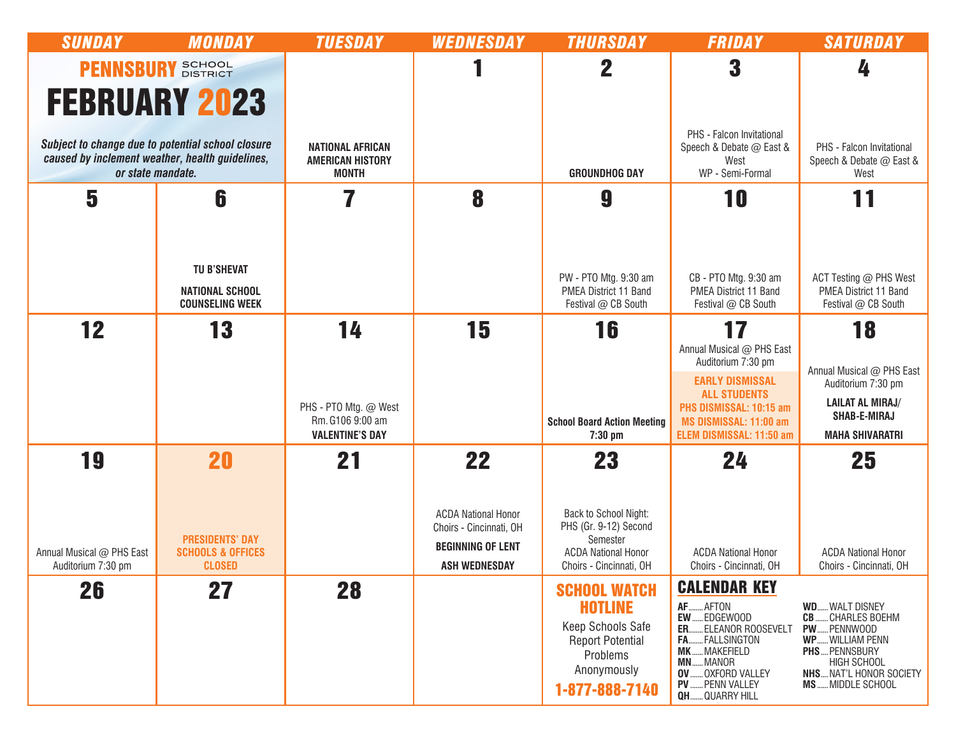| <b>SUNDAY</b>                                                        | <b>MONDAY</b>                                                           | <b>TUESDAY</b>                                                      | <b>WEDNESDAY</b>                                                                                          | <b>THURSDAY</b>                                                                                                                    | <b>FRIDAY</b>                                                                                                                                                                                                               | <b>SATURDAY</b>                                                                                                                                                          |
|----------------------------------------------------------------------|-------------------------------------------------------------------------|---------------------------------------------------------------------|-----------------------------------------------------------------------------------------------------------|------------------------------------------------------------------------------------------------------------------------------------|-----------------------------------------------------------------------------------------------------------------------------------------------------------------------------------------------------------------------------|--------------------------------------------------------------------------------------------------------------------------------------------------------------------------|
| <b>PENNSBURY</b>                                                     | SCHOOL<br>DISTRICT                                                      |                                                                     |                                                                                                           | 2                                                                                                                                  | 3                                                                                                                                                                                                                           | 4                                                                                                                                                                        |
|                                                                      | <b>FEBRUARY 2023</b>                                                    |                                                                     |                                                                                                           |                                                                                                                                    |                                                                                                                                                                                                                             |                                                                                                                                                                          |
| caused by inclement weather, health guidelines,<br>or state mandate. | Subject to change due to potential school closure                       | <b>NATIONAL AFRICAN</b><br><b>AMERICAN HISTORY</b><br><b>MONTH</b>  |                                                                                                           | <b>GROUNDHOG DAY</b>                                                                                                               | PHS - Falcon Invitational<br>Speech & Debate @ East &<br>West<br>WP - Semi-Formal                                                                                                                                           | PHS - Falcon Invitational<br>Speech & Debate @ East &<br>West                                                                                                            |
| 5                                                                    | 6                                                                       |                                                                     | 8                                                                                                         | 9                                                                                                                                  | 10                                                                                                                                                                                                                          | 11                                                                                                                                                                       |
|                                                                      | <b>TU B'SHEVAT</b><br><b>NATIONAL SCHOOL</b><br><b>COUNSELING WEEK</b>  |                                                                     |                                                                                                           | PW - PTO Mtg. 9:30 am<br>PMEA District 11 Band<br>Festival @ CB South                                                              | CB - PTO Mtg. 9:30 am<br>PMEA District 11 Band<br>Festival @ CB South                                                                                                                                                       | ACT Testing @ PHS West<br>PMEA District 11 Band<br>Festival @ CB South                                                                                                   |
| 12                                                                   | 13                                                                      | 14                                                                  | 15                                                                                                        | 16                                                                                                                                 | 17<br>Annual Musical @ PHS East                                                                                                                                                                                             | 18                                                                                                                                                                       |
|                                                                      |                                                                         | PHS - PTO Mtg. @ West<br>Rm. G106 9:00 am<br><b>VALENTINE'S DAY</b> |                                                                                                           | <b>School Board Action Meeting</b><br>7:30 pm                                                                                      | Auditorium 7:30 pm<br><b>EARLY DISMISSAL</b><br><b>ALL STUDENTS</b><br>PHS DISMISSAL: 10:15 am<br>MS DISMISSAL: 11:00 am<br>ELEM DISMISSAL: 11:50 am                                                                        | Annual Musical @ PHS East<br>Auditorium 7:30 pm<br><b>LAILAT AL MIRAJ/</b><br><b>SHAB-E-MIRAJ</b><br><b>MAHA SHIVARATRI</b>                                              |
| 19                                                                   | 20                                                                      | 21                                                                  | 22                                                                                                        | 23                                                                                                                                 | 24                                                                                                                                                                                                                          | 25                                                                                                                                                                       |
| Annual Musical @ PHS East<br>Auditorium 7:30 pm                      | <b>PRESIDENTS' DAY</b><br><b>SCHOOLS &amp; OFFICES</b><br><b>CLOSED</b> |                                                                     | <b>ACDA National Honor</b><br>Choirs - Cincinnati, OH<br><b>BEGINNING OF LENT</b><br><b>ASH WEDNESDAY</b> | Back to School Night:<br>PHS (Gr. 9-12) Second<br>Semester<br><b>ACDA National Honor</b><br>Choirs - Cincinnati, OH                | <b>ACDA National Honor</b><br>Choirs - Cincinnati, OH                                                                                                                                                                       | <b>ACDA National Honor</b><br>Choirs - Cincinnati, OH                                                                                                                    |
| 26                                                                   | 27                                                                      | 28                                                                  |                                                                                                           | <b>SCHOOL WATCH</b><br><b>HOTLINE</b><br>Keep Schools Safe<br><b>Report Potential</b><br>Problems<br>Anonymously<br>1-877-888-7140 | <b>CALENDAR KEY</b><br>AF AFTON<br>EW EDGEWOOD<br><b>ER ELEANOR ROOSEVELT</b><br><b>FA FALLSINGTON</b><br>MK MAKEFIELD<br><b>MN MANOR</b><br>OXFORD VALLEY<br>$0V_{\cdot\cdot}$<br>PV  PENN VALLEY<br><b>QH QUARRY HILL</b> | WD WALT DISNEY<br><b>CB</b> CHARLES BOEHM<br>PW PENNWOOD<br>WP WILLIAM PENN<br>PHS PENNSBURY<br><b>HIGH SCHOOL</b><br><b>NHS NAT'L HONOR SOCIETY</b><br>MS MIDDLE SCHOOL |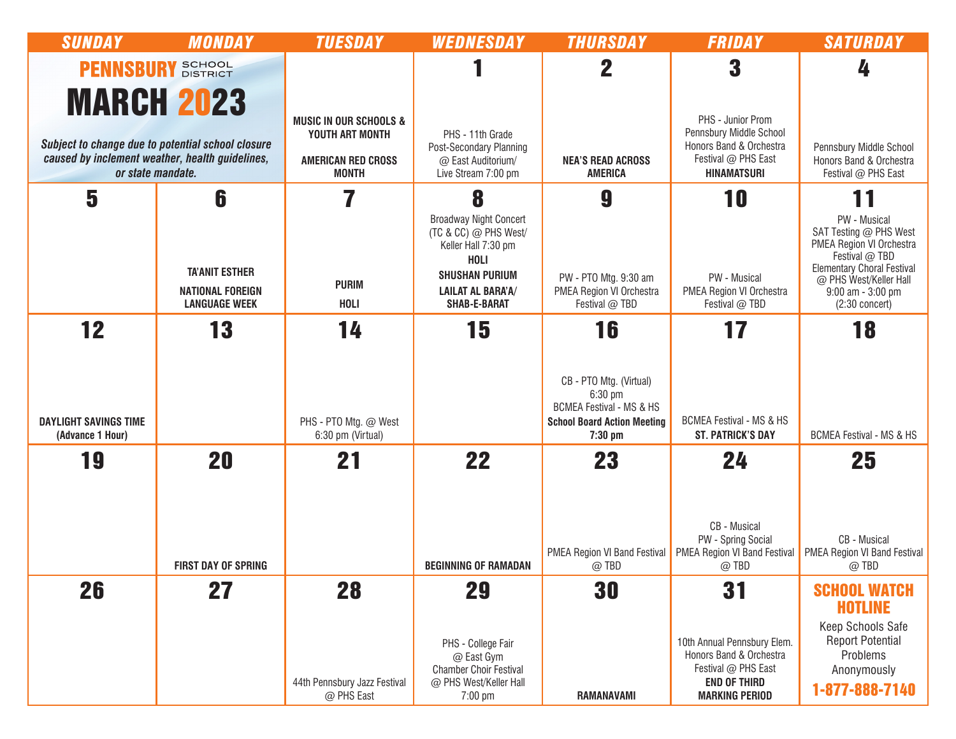| <b>SUNDAY</b>                                                                                                                                  | <b>MONDAY</b>                                         | <b>TUESDAY</b>                                                                                    | <b>WEDNESDAY</b>                                                                                                                                       | <b>THURSDAY</b>                                                                                                            | <b>FRIDAY</b>                                                                                                                       | <b>SATURDAY</b>                                                                                                                                                                |
|------------------------------------------------------------------------------------------------------------------------------------------------|-------------------------------------------------------|---------------------------------------------------------------------------------------------------|--------------------------------------------------------------------------------------------------------------------------------------------------------|----------------------------------------------------------------------------------------------------------------------------|-------------------------------------------------------------------------------------------------------------------------------------|--------------------------------------------------------------------------------------------------------------------------------------------------------------------------------|
| <b>PENNSBURY</b>                                                                                                                               | <b>SCHOOL</b><br><b>DISTRICT</b>                      |                                                                                                   |                                                                                                                                                        | $\mathbf 2$                                                                                                                | 3                                                                                                                                   | 4                                                                                                                                                                              |
| <b>MARCH 2023</b><br>Subject to change due to potential school closure<br>caused by inclement weather, health guidelines,<br>or state mandate. |                                                       | <b>MUSIC IN OUR SCHOOLS &amp;</b><br>YOUTH ART MONTH<br><b>AMERICAN RED CROSS</b><br><b>MONTH</b> | PHS - 11th Grade<br>Post-Secondary Planning<br>@ East Auditorium/<br>Live Stream 7:00 pm                                                               | <b>NEA'S READ ACROSS</b><br><b>AMERICA</b>                                                                                 | PHS - Junior Prom<br>Pennsbury Middle School<br>Honors Band & Orchestra<br>Festival @ PHS East<br><b>HINAMATSURI</b>                | Pennsbury Middle School<br>Honors Band & Orchestra<br>Festival @ PHS East                                                                                                      |
| 5                                                                                                                                              | 6<br><b>TA'ANIT ESTHER</b><br><b>NATIONAL FOREIGN</b> | 7<br><b>PURIM</b>                                                                                 | 8<br><b>Broadway Night Concert</b><br>(TC & CC) @ PHS West/<br>Keller Hall 7:30 pm<br><b>HOLI</b><br><b>SHUSHAN PURIUM</b><br><b>LAILAT AL BARA'A/</b> | 9<br>PW - PTO Mtg. 9:30 am<br>PMEA Region VI Orchestra                                                                     | 10<br>PW - Musical<br>PMEA Region VI Orchestra                                                                                      | 11<br>PW - Musical<br>SAT Testing @ PHS West<br>PMEA Region VI Orchestra<br>Festival @ TBD<br><b>Elementary Choral Festival</b><br>@ PHS West/Keller Hall<br>9:00 am - 3:00 pm |
| 12                                                                                                                                             | <b>LANGUAGE WEEK</b><br>13                            | HOLI<br>14                                                                                        | <b>SHAB-E-BARAT</b><br>15                                                                                                                              | Festival @ TBD<br>16                                                                                                       | Festival @ TBD<br>17                                                                                                                | $(2:30$ concert)<br>18                                                                                                                                                         |
| <b>DAYLIGHT SAVINGS TIME</b><br>(Advance 1 Hour)                                                                                               |                                                       | PHS - PTO Mtg. @ West<br>6:30 pm (Virtual)                                                        |                                                                                                                                                        | CB - PTO Mtg. (Virtual)<br>6:30 pm<br><b>BCMEA Festival - MS &amp; HS</b><br><b>School Board Action Meeting</b><br>7:30 pm | <b>BCMEA Festival - MS &amp; HS</b><br><b>ST. PATRICK'S DAY</b>                                                                     | <b>BCMEA Festival - MS &amp; HS</b>                                                                                                                                            |
| 19                                                                                                                                             | 20<br><b>FIRST DAY OF SPRING</b>                      | 21                                                                                                | 22<br><b>BEGINNING OF RAMADAN</b>                                                                                                                      | 23<br>PMEA Region VI Band Festival<br>$@$ TBD                                                                              | 24<br>CB - Musical<br>PW - Spring Social<br><b>PMEA Region VI Band Festival</b><br>$@$ TBD                                          | 25<br>CB - Musical<br>PMEA Region VI Band Festival<br>$@$ TBD                                                                                                                  |
| 26                                                                                                                                             | 27                                                    | 28<br>44th Pennsbury Jazz Festival<br>@ PHS East                                                  | 29<br>PHS - College Fair<br>@ East Gym<br><b>Chamber Choir Festival</b><br>@ PHS West/Keller Hall<br>$7:00 \text{ pm}$                                 | 30<br><b>RAMANAVAMI</b>                                                                                                    | 31<br>10th Annual Pennsbury Elem.<br>Honors Band & Orchestra<br>Festival @ PHS East<br><b>END OF THIRD</b><br><b>MARKING PERIOD</b> | <b>SCHOOL WATCH</b><br><b>HOTLINE</b><br>Keep Schools Safe<br><b>Report Potential</b><br>Problems<br>Anonymously<br>1-877-888-7140                                             |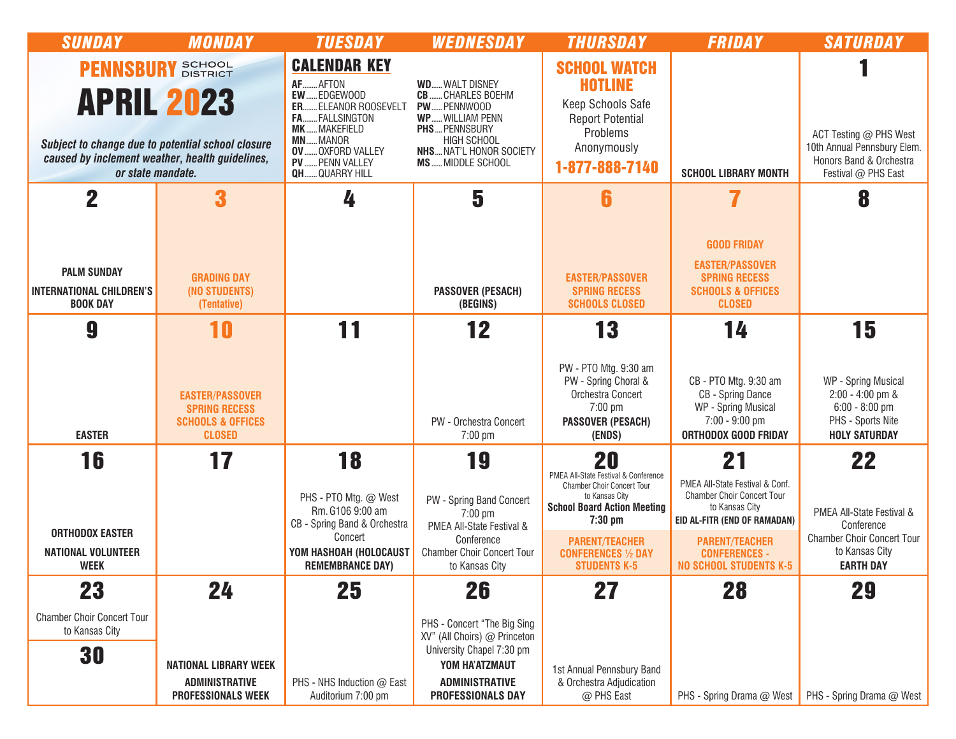| <b>SUNDAY</b>                                                                                                                                                      | <b>MONDAY</b>                                                                                   | <b>TUESDAY</b>                                                                                                                                                                                               | <b>WEDNESDAY</b>                                                                                                                                                         | <b>THURSDAY</b>                                                                                                                                      | <b>FRIDAY</b>                                                                                                                | <b>SATURDAY</b>                                                                                            |
|--------------------------------------------------------------------------------------------------------------------------------------------------------------------|-------------------------------------------------------------------------------------------------|--------------------------------------------------------------------------------------------------------------------------------------------------------------------------------------------------------------|--------------------------------------------------------------------------------------------------------------------------------------------------------------------------|------------------------------------------------------------------------------------------------------------------------------------------------------|------------------------------------------------------------------------------------------------------------------------------|------------------------------------------------------------------------------------------------------------|
| <b>PENNSBURY</b><br><b>APRIL 2023</b><br>Subject to change due to potential school closure<br>caused by inclement weather, health guidelines,<br>or state mandate. | SCHOOL<br><b>DISTRICT</b>                                                                       | <b>CALENDAR KEY</b><br>AFAFTON<br>EWEDGEWOOD<br>.ELEANOR ROOSEVELT<br>ER.<br>FALLSINGTON<br>FA<br><b>MK MAKEFIELD</b><br><b>MN MANOR</b><br>OXFORD VALLEY<br>OV.<br>PV  PENN VALLEY<br><b>QH QUARRY HILL</b> | <b>WD WALT DISNEY</b><br><b>CB</b> CHARLES BOEHM<br>PW PENNWOOD<br>WP WILLIAM PENN<br>PHS PENNSBURY<br>HIGH SCHOOL<br><b>NHS NAT'L HONOR SOCIETY</b><br>MS MIDDLE SCHOOL | <b>SCHOOL WATCH</b><br><b>HOTLINE</b><br>Keep Schools Safe<br><b>Report Potential</b><br>Problems<br>Anonymously<br>1-877-888-7140                   | <b>SCHOOL LIBRARY MONTH</b>                                                                                                  | ACT Testing @ PHS West<br>10th Annual Pennsbury Elem.<br>Honors Band & Orchestra<br>Festival @ PHS East    |
| $\overline{2}$                                                                                                                                                     | 3                                                                                               | 4                                                                                                                                                                                                            | 5                                                                                                                                                                        | 6                                                                                                                                                    |                                                                                                                              | 8                                                                                                          |
| <b>PALM SUNDAY</b><br><b>INTERNATIONAL CHILDREN'S</b><br><b>BOOK DAY</b>                                                                                           | <b>GRADING DAY</b><br>(NO STUDENTS)<br>(Tentative)                                              |                                                                                                                                                                                                              | <b>PASSOVER (PESACH)</b><br>(BEGINS)                                                                                                                                     | <b>EASTER/PASSOVER</b><br><b>SPRING RECESS</b><br><b>SCHOOLS CLOSED</b>                                                                              | <b>GOOD FRIDAY</b><br><b>EASTER/PASSOVER</b><br><b>SPRING RECESS</b><br><b>SCHOOLS &amp; OFFICES</b><br><b>CLOSED</b>        |                                                                                                            |
| 9                                                                                                                                                                  | 10                                                                                              | 11                                                                                                                                                                                                           | 12                                                                                                                                                                       | 13                                                                                                                                                   | 14                                                                                                                           | 15                                                                                                         |
| <b>EASTER</b>                                                                                                                                                      | <b>EASTER/PASSOVER</b><br><b>SPRING RECESS</b><br><b>SCHOOLS &amp; OFFICES</b><br><b>CLOSED</b> |                                                                                                                                                                                                              | PW - Orchestra Concert<br>$7:00 \text{ pm}$                                                                                                                              | PW - PTO Mtg. 9:30 am<br>PW - Spring Choral &<br>Orchestra Concert<br>7:00 pm<br><b>PASSOVER (PESACH)</b><br>(ENDS)                                  | CB - PTO Mtg. 9:30 am<br>CB - Spring Dance<br>WP - Spring Musical<br>$7:00 - 9:00$ pm<br><b>ORTHODOX GOOD FRIDAY</b>         | WP - Spring Musical<br>$2:00 - 4:00$ pm &<br>$6:00 - 8:00$ pm<br>PHS - Sports Nite<br><b>HOLY SATURDAY</b> |
| 16                                                                                                                                                                 | 17                                                                                              | 18<br>PHS - PTO Mtg. @ West<br>Rm. G106 9:00 am<br>CB - Spring Band & Orchestra                                                                                                                              | 19<br>PW - Spring Band Concert<br>$7:00 \text{ pm}$<br>PMEA All-State Festival &                                                                                         | 20<br>PMEA All-State Festival & Conference<br><b>Chamber Choir Concert Tour</b><br>to Kansas City<br><b>School Board Action Meeting</b><br>$7:30$ pm | 21<br>PMEA All-State Festival & Conf.<br><b>Chamber Choir Concert Tour</b><br>to Kansas City<br>EID AL-FITR (END OF RAMADAN) | 22<br>PMEA All-State Festival &<br>Conference                                                              |
| <b>ORTHODOX EASTER</b><br><b>NATIONAL VOLUNTEER</b><br><b>WEEK</b>                                                                                                 |                                                                                                 | Concert<br>YOM HASHOAH (HOLOCAUST<br><b>REMEMBRANCE DAY)</b>                                                                                                                                                 | Conference<br><b>Chamber Choir Concert Tour</b><br>to Kansas City                                                                                                        | <b>PARENT/TEACHER</b><br><b>CONFERENCES 1/2 DAY</b><br><b>STUDENTS K-5</b>                                                                           | <b>PARENT/TEACHER</b><br><b>CONFERENCES -</b><br><b>NO SCHOOL STUDENTS K-5</b>                                               | <b>Chamber Choir Concert Tour</b><br>to Kansas City<br><b>EARTH DAY</b>                                    |
| 23                                                                                                                                                                 | 24                                                                                              | 25                                                                                                                                                                                                           | 26                                                                                                                                                                       | 27                                                                                                                                                   | 28                                                                                                                           | 29                                                                                                         |
| <b>Chamber Choir Concert Tour</b><br>to Kansas City<br>30                                                                                                          | NATIONAL LIBRARY WEEK<br><b>ADMINISTRATIVE</b><br><b>PROFESSIONALS WEEK</b>                     | PHS - NHS Induction @ East<br>Auditorium 7:00 pm                                                                                                                                                             | PHS - Concert "The Big Sing<br>XV" (All Choirs) @ Princeton<br>University Chapel 7:30 pm<br>YOM HA'ATZMAUT<br><b>ADMINISTRATIVE</b><br>PROFESSIONALS DAY                 | 1st Annual Pennsbury Band<br>& Orchestra Adjudication<br>@ PHS East                                                                                  | PHS - Spring Drama @ West                                                                                                    | PHS - Spring Drama @ West                                                                                  |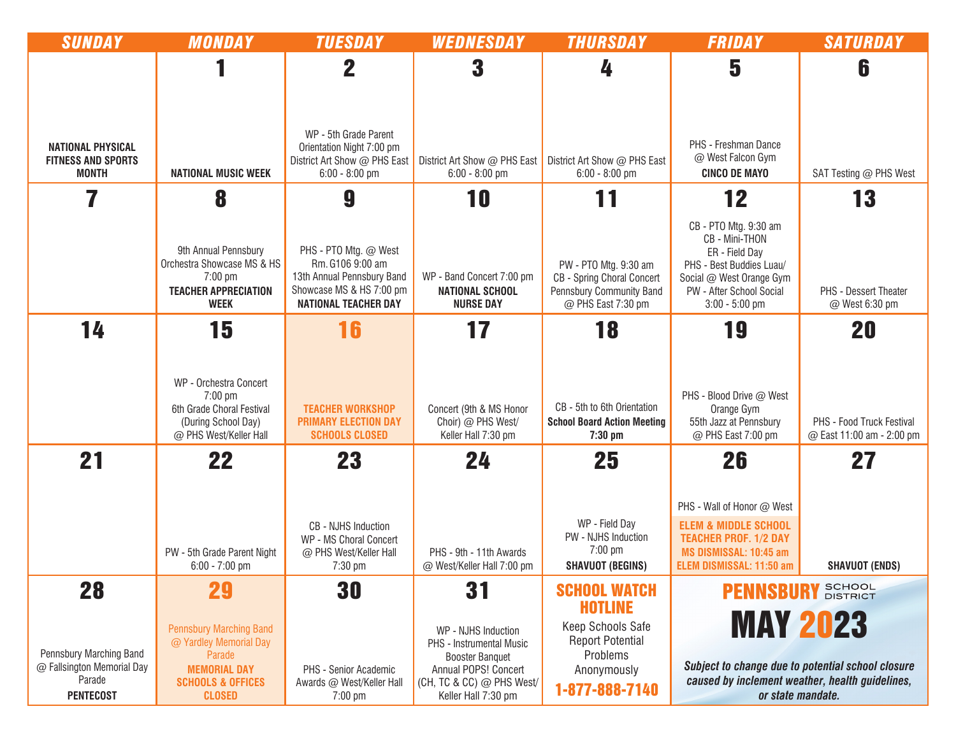| <b>SUNDAY</b>                                                                       | <b>MONDAY</b>                                                                                                                              | <b>TUESDAY</b>                                                                                                                     | <b>WEDNESDAY</b>                                                                                                                                      | <b>THURSDAY</b>                                                                                              | <b>FRIDAY</b>                                                                                                                                                     | <b>SATURDAY</b>                                        |
|-------------------------------------------------------------------------------------|--------------------------------------------------------------------------------------------------------------------------------------------|------------------------------------------------------------------------------------------------------------------------------------|-------------------------------------------------------------------------------------------------------------------------------------------------------|--------------------------------------------------------------------------------------------------------------|-------------------------------------------------------------------------------------------------------------------------------------------------------------------|--------------------------------------------------------|
|                                                                                     |                                                                                                                                            | $\mathbf 2$                                                                                                                        | 3                                                                                                                                                     | 4                                                                                                            | 5                                                                                                                                                                 | 6                                                      |
|                                                                                     |                                                                                                                                            |                                                                                                                                    |                                                                                                                                                       |                                                                                                              |                                                                                                                                                                   |                                                        |
| <b>NATIONAL PHYSICAL</b><br><b>FITNESS AND SPORTS</b><br><b>MONTH</b>               | <b>NATIONAL MUSIC WEEK</b>                                                                                                                 | WP - 5th Grade Parent<br>Orientation Night 7:00 pm<br>District Art Show @ PHS East<br>$6:00 - 8:00$ pm                             | District Art Show @ PHS East<br>$6:00 - 8:00$ pm                                                                                                      | District Art Show @ PHS East<br>$6:00 - 8:00$ pm                                                             | PHS - Freshman Dance<br>@ West Falcon Gym<br><b>CINCO DE MAYO</b>                                                                                                 | SAT Testing @ PHS West                                 |
|                                                                                     | 8                                                                                                                                          | 9                                                                                                                                  | 10                                                                                                                                                    | 11                                                                                                           | 12                                                                                                                                                                | 13                                                     |
|                                                                                     | 9th Annual Pennsbury<br>Orchestra Showcase MS & HS<br>7:00 pm<br><b>TEACHER APPRECIATION</b><br><b>WEEK</b>                                | PHS - PTO Mtg. @ West<br>Rm. G106 9:00 am<br>13th Annual Pennsbury Band<br>Showcase MS & HS 7:00 pm<br><b>NATIONAL TEACHER DAY</b> | WP - Band Concert 7:00 pm<br><b>NATIONAL SCHOOL</b><br><b>NURSE DAY</b>                                                                               | PW - PTO Mtg. 9:30 am<br><b>CB - Spring Choral Concert</b><br>Pennsbury Community Band<br>@ PHS East 7:30 pm | CB - PTO Mtg. 9:30 am<br>CB - Mini-THON<br>ER - Field Day<br>PHS - Best Buddies Luau/<br>Social @ West Orange Gym<br>PW - After School Social<br>$3:00 - 5:00$ pm | PHS - Dessert Theater<br>@ West 6:30 pm                |
| 14                                                                                  | 15                                                                                                                                         | 16                                                                                                                                 | 17                                                                                                                                                    | 18                                                                                                           | 19                                                                                                                                                                | 20                                                     |
|                                                                                     | WP - Orchestra Concert<br>$7:00 \text{ pm}$<br>6th Grade Choral Festival<br>(During School Day)<br>@ PHS West/Keller Hall                  | <b>TEACHER WORKSHOP</b><br><b>PRIMARY ELECTION DAY</b><br><b>SCHOOLS CLOSED</b>                                                    | Concert (9th & MS Honor<br>Choir) @ PHS West/<br>Keller Hall 7:30 pm                                                                                  | CB - 5th to 6th Orientation<br><b>School Board Action Meeting</b><br>$7:30$ pm                               | PHS - Blood Drive @ West<br>Orange Gym<br>55th Jazz at Pennsbury<br>@ PHS East 7:00 pm                                                                            | PHS - Food Truck Festival<br>@ East 11:00 am - 2:00 pm |
| 21                                                                                  | 22                                                                                                                                         | 23                                                                                                                                 | 24                                                                                                                                                    | 25                                                                                                           | 26                                                                                                                                                                | 27                                                     |
|                                                                                     | PW - 5th Grade Parent Night<br>$6:00 - 7:00$ pm                                                                                            | CB - NJHS Induction<br>WP - MS Choral Concert<br>@ PHS West/Keller Hall<br>7:30 pm                                                 | PHS - 9th - 11th Awards<br>@ West/Keller Hall 7:00 pm                                                                                                 | WP - Field Day<br>PW - NJHS Induction<br>7:00 pm<br><b>SHAVUOT (BEGINS)</b>                                  | PHS - Wall of Honor @ West<br><b>ELEM &amp; MIDDLE SCHOOL</b><br><b>TEACHER PROF. 1/2 DAY</b><br>MS DISMISSAL: 10:45 am<br>ELEM DISMISSAL: 11:50 am               | <b>SHAVUOT (ENDS)</b>                                  |
| 28                                                                                  | 29                                                                                                                                         | 30                                                                                                                                 | 31                                                                                                                                                    | <b>SCHOOL WATCH</b>                                                                                          | <b>PENNSBURY</b>                                                                                                                                                  | SCHOOL<br>DISTRICT                                     |
| Pennsbury Marching Band<br>@ Fallsington Memorial Day<br>Parade<br><b>PENTECOST</b> | <b>Pennsbury Marching Band</b><br>@ Yardley Memorial Day<br>Parade<br><b>MEMORIAL DAY</b><br><b>SCHOOLS &amp; OFFICES</b><br><b>CLOSED</b> | PHS - Senior Academic<br>Awards @ West/Keller Hall<br>$7:00$ pm                                                                    | WP - NJHS Induction<br>PHS - Instrumental Music<br><b>Booster Banquet</b><br>Annual POPS! Concert<br>(CH, TC & CC) @ PHS West/<br>Keller Hall 7:30 pm | <b>HOTLINE</b><br>Keep Schools Safe<br><b>Report Potential</b><br>Problems<br>Anonymously<br>1-877-888-7140  | Subject to change due to potential school closure<br>caused by inclement weather, health guidelines,<br>or state mandate.                                         | <b>MAY 2023</b>                                        |